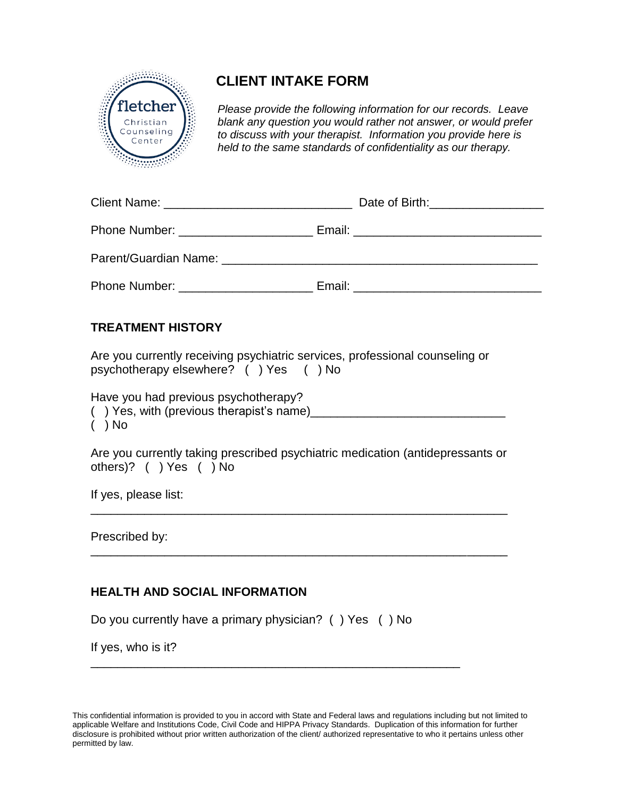

# **CLIENT INTAKE FORM**

*Please provide the following information for our records. Leave blank any question you would rather not answer, or would prefer to discuss with your therapist. Information you provide here is held to the same standards of confidentiality as our therapy.*

|                                                                                                                                                                                                                                     | Date of Birth: <u>Cambridge Communist Communist Communist</u> |  |
|-------------------------------------------------------------------------------------------------------------------------------------------------------------------------------------------------------------------------------------|---------------------------------------------------------------|--|
|                                                                                                                                                                                                                                     |                                                               |  |
|                                                                                                                                                                                                                                     |                                                               |  |
| <b>Phone Number:</b> The Contract of the Contract of the Contract of the Contract of the Contract of the Contract of the Contract of the Contract of the Contract of the Contract of the Contract of the Contract of the Contract o | Email: <u>_________________________</u>                       |  |

### **TREATMENT HISTORY**

Are you currently receiving psychiatric services, professional counseling or psychotherapy elsewhere? ( ) Yes ( ) No

Have you had previous psychotherapy?

() Yes, with (previous therapist's name)  $($  ) No

Are you currently taking prescribed psychiatric medication (antidepressants or others)? ( ) Yes ( ) No

\_\_\_\_\_\_\_\_\_\_\_\_\_\_\_\_\_\_\_\_\_\_\_\_\_\_\_\_\_\_\_\_\_\_\_\_\_\_\_\_\_\_\_\_\_\_\_\_\_\_\_\_\_\_\_\_\_\_\_\_\_\_

\_\_\_\_\_\_\_\_\_\_\_\_\_\_\_\_\_\_\_\_\_\_\_\_\_\_\_\_\_\_\_\_\_\_\_\_\_\_\_\_\_\_\_\_\_\_\_\_\_\_\_\_\_\_\_\_\_\_\_\_\_\_

If yes, please list:

Prescribed by:

## **HEALTH AND SOCIAL INFORMATION**

Do you currently have a primary physician? ( ) Yes ( ) No

\_\_\_\_\_\_\_\_\_\_\_\_\_\_\_\_\_\_\_\_\_\_\_\_\_\_\_\_\_\_\_\_\_\_\_\_\_\_\_\_\_\_\_\_\_\_\_\_\_\_\_\_\_\_\_

If yes, who is it?

This confidential information is provided to you in accord with State and Federal laws and regulations including but not limited to applicable Welfare and Institutions Code, Civil Code and HIPPA Privacy Standards. Duplication of this information for further disclosure is prohibited without prior written authorization of the client/ authorized representative to who it pertains unless other permitted by law.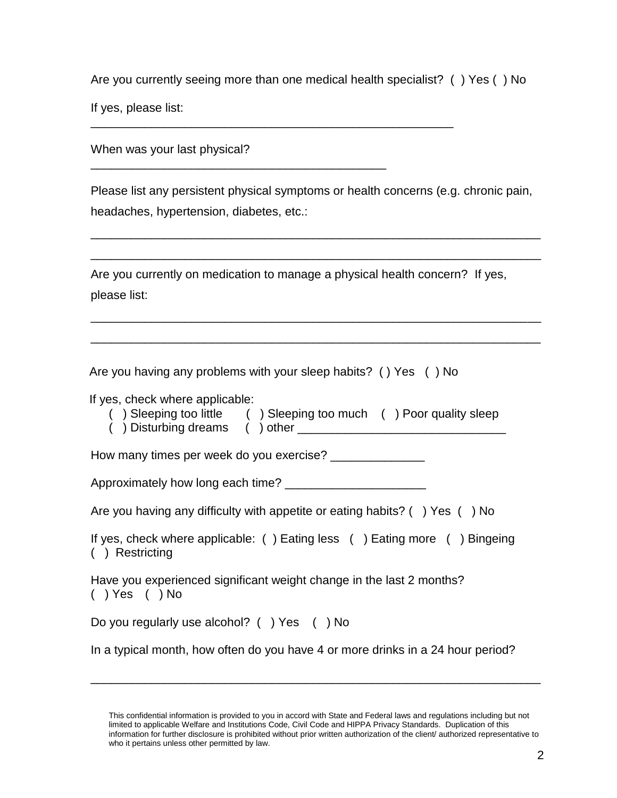Are you currently seeing more than one medical health specialist? ( ) Yes ( ) No

\_\_\_\_\_\_\_\_\_\_\_\_\_\_\_\_\_\_\_\_\_\_\_\_\_\_\_\_\_\_\_\_\_\_\_\_\_\_\_\_\_\_\_\_\_\_\_\_\_\_\_\_\_\_

\_\_\_\_\_\_\_\_\_\_\_\_\_\_\_\_\_\_\_\_\_\_\_\_\_\_\_\_\_\_\_\_\_\_\_\_\_\_\_\_\_\_\_\_

If yes, please list:

When was your last physical?

Please list any persistent physical symptoms or health concerns (e.g. chronic pain, headaches, hypertension, diabetes, etc.:

\_\_\_\_\_\_\_\_\_\_\_\_\_\_\_\_\_\_\_\_\_\_\_\_\_\_\_\_\_\_\_\_\_\_\_\_\_\_\_\_\_\_\_\_\_\_\_\_\_\_\_\_\_\_\_\_\_\_\_\_\_\_\_\_\_\_\_

\_\_\_\_\_\_\_\_\_\_\_\_\_\_\_\_\_\_\_\_\_\_\_\_\_\_\_\_\_\_\_\_\_\_\_\_\_\_\_\_\_\_\_\_\_\_\_\_\_\_\_\_\_\_\_\_\_\_\_\_\_\_\_\_\_\_\_

\_\_\_\_\_\_\_\_\_\_\_\_\_\_\_\_\_\_\_\_\_\_\_\_\_\_\_\_\_\_\_\_\_\_\_\_\_\_\_\_\_\_\_\_\_\_\_\_\_\_\_\_\_\_\_\_\_\_\_\_\_\_\_\_\_\_\_

\_\_\_\_\_\_\_\_\_\_\_\_\_\_\_\_\_\_\_\_\_\_\_\_\_\_\_\_\_\_\_\_\_\_\_\_\_\_\_\_\_\_\_\_\_\_\_\_\_\_\_\_\_\_\_\_\_\_\_\_\_\_\_\_\_\_\_

Are you currently on medication to manage a physical health concern? If yes, please list:

Are you having any problems with your sleep habits? ( ) Yes ( ) No

If yes, check where applicable:

| ) Sleeping too little | ) Sleeping too much | ) Poor quality sleep |
|-----------------------|---------------------|----------------------|
| ) Disturbing dreams   | $( )$ other         |                      |

How many times per week do you exercise? \_\_\_\_\_\_\_\_\_\_\_\_\_\_

Approximately how long each time? \_\_\_\_\_\_\_\_\_\_\_\_\_\_\_\_\_\_\_\_\_

| Are you having any difficulty with appetite or eating habits? () Yes () No |  |  |  |  |  |
|----------------------------------------------------------------------------|--|--|--|--|--|
|----------------------------------------------------------------------------|--|--|--|--|--|

If yes, check where applicable: ( ) Eating less ( ) Eating more ( ) Bingeing ( ) Restricting

Have you experienced significant weight change in the last 2 months? ( ) Yes ( ) No

Do you regularly use alcohol? ( ) Yes ( ) No

In a typical month, how often do you have 4 or more drinks in a 24 hour period?

\_\_\_\_\_\_\_\_\_\_\_\_\_\_\_\_\_\_\_\_\_\_\_\_\_\_\_\_\_\_\_\_\_\_\_\_\_\_\_\_\_\_\_\_\_\_\_\_\_\_\_\_\_\_\_\_\_\_\_\_\_\_\_\_\_\_\_

This confidential information is provided to you in accord with State and Federal laws and regulations including but not limited to applicable Welfare and Institutions Code, Civil Code and HIPPA Privacy Standards. Duplication of this information for further disclosure is prohibited without prior written authorization of the client/ authorized representative to who it pertains unless other permitted by law.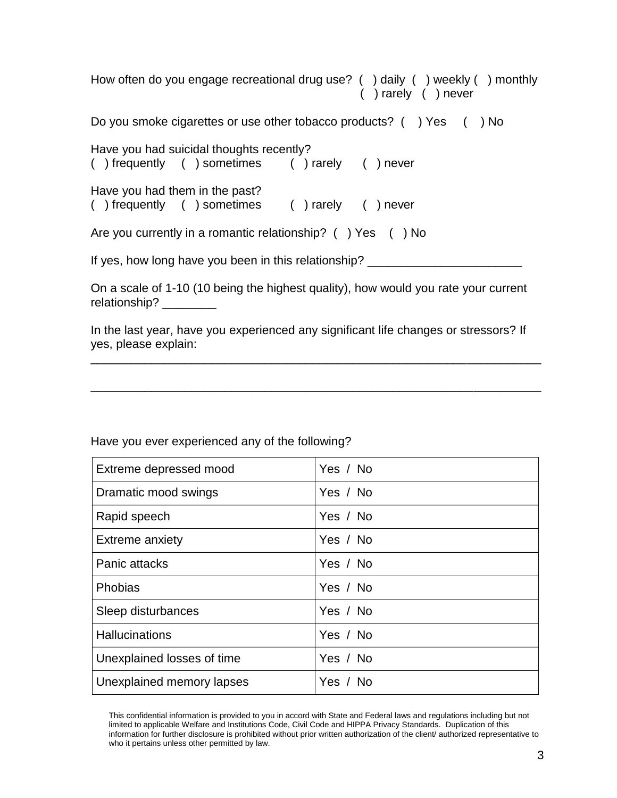How often do you engage recreational drug use? ( ) daily ( ) weekly ( ) monthly ( ) rarely ( ) never Do you smoke cigarettes or use other tobacco products? () Yes () No Have you had suicidal thoughts recently?<br>( ) frequently ( ) sometimes ( ) rarely ( ) frequently ( ) sometimes ( ) rarely ( ) never Have you had them in the past? ( ) frequently ( ) sometimes ( ) rarely ( ) never

Are you currently in a romantic relationship? () Yes () No

If yes, how long have you been in this relationship? \_\_\_\_\_\_\_\_\_\_\_\_\_\_\_\_\_\_\_\_\_\_\_\_\_\_\_

On a scale of 1-10 (10 being the highest quality), how would you rate your current relationship? \_\_\_\_\_\_\_\_\_

In the last year, have you experienced any significant life changes or stressors? If yes, please explain:

\_\_\_\_\_\_\_\_\_\_\_\_\_\_\_\_\_\_\_\_\_\_\_\_\_\_\_\_\_\_\_\_\_\_\_\_\_\_\_\_\_\_\_\_\_\_\_\_\_\_\_\_\_\_\_\_\_\_\_\_\_\_\_\_\_\_\_

\_\_\_\_\_\_\_\_\_\_\_\_\_\_\_\_\_\_\_\_\_\_\_\_\_\_\_\_\_\_\_\_\_\_\_\_\_\_\_\_\_\_\_\_\_\_\_\_\_\_\_\_\_\_\_\_\_\_\_\_\_\_\_\_\_\_\_

| Extreme depressed mood     | Yes / No |
|----------------------------|----------|
| Dramatic mood swings       | Yes / No |
| Rapid speech               | Yes / No |
| Extreme anxiety            | Yes / No |
| Panic attacks              | Yes / No |
| Phobias                    | Yes / No |
| Sleep disturbances         | Yes / No |
| <b>Hallucinations</b>      | Yes / No |
| Unexplained losses of time | Yes / No |
| Unexplained memory lapses  | Yes / No |

Have you ever experienced any of the following?

This confidential information is provided to you in accord with State and Federal laws and regulations including but not limited to applicable Welfare and Institutions Code, Civil Code and HIPPA Privacy Standards. Duplication of this information for further disclosure is prohibited without prior written authorization of the client/ authorized representative to who it pertains unless other permitted by law.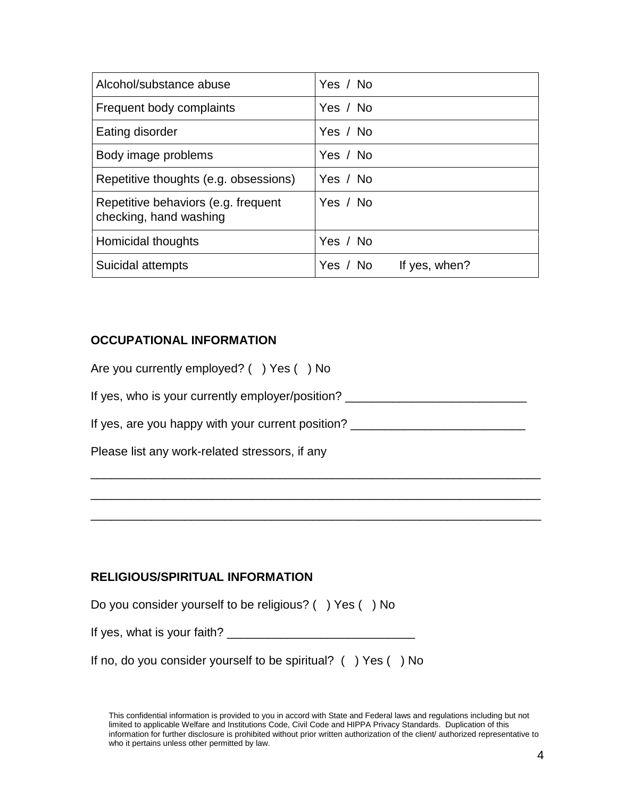| Alcohol/substance abuse                                       | Yes / No                  |
|---------------------------------------------------------------|---------------------------|
| Frequent body complaints                                      | Yes / No                  |
| Eating disorder                                               | Yes / No                  |
| Body image problems                                           | Yes / No                  |
| Repetitive thoughts (e.g. obsessions)                         | Yes / No                  |
| Repetitive behaviors (e.g. frequent<br>checking, hand washing | Yes / No                  |
| Homicidal thoughts                                            | Yes / No                  |
| Suicidal attempts                                             | Yes / No<br>If yes, when? |

#### **OCCUPATIONAL INFORMATION**

| Please list any work-related stressors, if any    |
|---------------------------------------------------|
| If yes, are you happy with your current position? |
| If yes, who is your currently employer/position?  |
| Are you currently employed? () Yes () No          |

\_\_\_\_\_\_\_\_\_\_\_\_\_\_\_\_\_\_\_\_\_\_\_\_\_\_\_\_\_\_\_\_\_\_\_\_\_\_\_\_\_\_\_\_\_\_\_\_\_\_\_\_\_\_\_\_\_\_\_\_\_\_\_\_\_\_\_

#### **RELIGIOUS/SPIRITUAL INFORMATION**

| Do you consider yourself to be religious? () Yes () No |  |
|--------------------------------------------------------|--|
| If yes, what is your faith?                            |  |

| If no, do you consider yourself to be spiritual? $($ $)$ Yes $($ $)$ No |  |  |
|-------------------------------------------------------------------------|--|--|
|-------------------------------------------------------------------------|--|--|

This confidential information is provided to you in accord with State and Federal laws and regulations including but not limited to applicable Welfare and Institutions Code, Civil Code and HIPPA Privacy Standards. Duplication of this information for further disclosure is prohibited without prior written authorization of the client/ authorized representative to who it pertains unless other permitted by law.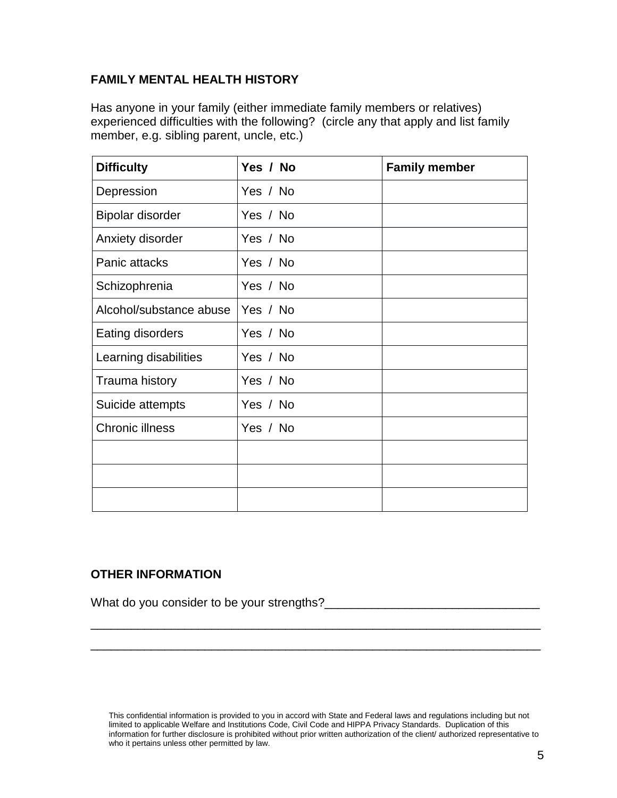#### **FAMILY MENTAL HEALTH HISTORY**

Has anyone in your family (either immediate family members or relatives) experienced difficulties with the following? (circle any that apply and list family member, e.g. sibling parent, uncle, etc.)

| <b>Difficulty</b>       | Yes / No | <b>Family member</b> |
|-------------------------|----------|----------------------|
| Depression              | Yes / No |                      |
| Bipolar disorder        | Yes / No |                      |
| Anxiety disorder        | Yes / No |                      |
| Panic attacks           | Yes / No |                      |
| Schizophrenia           | Yes / No |                      |
| Alcohol/substance abuse | Yes / No |                      |
| Eating disorders        | Yes / No |                      |
| Learning disabilities   | Yes / No |                      |
| Trauma history          | Yes / No |                      |
| Suicide attempts        | Yes / No |                      |
| <b>Chronic illness</b>  | Yes / No |                      |
|                         |          |                      |
|                         |          |                      |
|                         |          |                      |

#### **OTHER INFORMATION**

What do you consider to be your strengths?\_\_\_\_\_\_\_\_\_\_\_\_\_\_\_\_\_\_\_\_\_\_\_\_\_\_\_\_\_\_\_\_

This confidential information is provided to you in accord with State and Federal laws and regulations including but not limited to applicable Welfare and Institutions Code, Civil Code and HIPPA Privacy Standards. Duplication of this information for further disclosure is prohibited without prior written authorization of the client/ authorized representative to who it pertains unless other permitted by law.

\_\_\_\_\_\_\_\_\_\_\_\_\_\_\_\_\_\_\_\_\_\_\_\_\_\_\_\_\_\_\_\_\_\_\_\_\_\_\_\_\_\_\_\_\_\_\_\_\_\_\_\_\_\_\_\_\_\_\_\_\_\_\_\_\_\_\_

\_\_\_\_\_\_\_\_\_\_\_\_\_\_\_\_\_\_\_\_\_\_\_\_\_\_\_\_\_\_\_\_\_\_\_\_\_\_\_\_\_\_\_\_\_\_\_\_\_\_\_\_\_\_\_\_\_\_\_\_\_\_\_\_\_\_\_